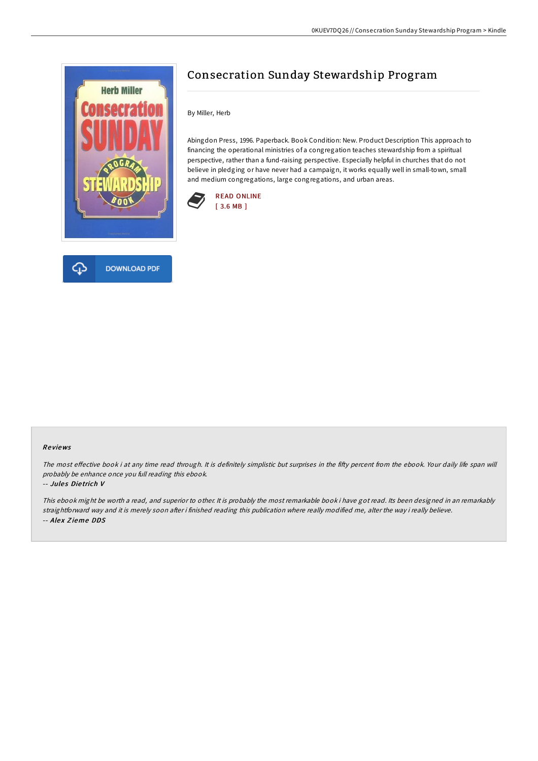

# Consecration Sunday Stewardship Program

By Miller, Herb

Abingdon Press, 1996. Paperback. Book Condition: New. Product Description This approach to financing the operational ministries of a congregation teaches stewardship from a spiritual perspective, rather than a fund-raising perspective. Especially helpful in churches that do not believe in pledging or have never had a campaign, it works equally well in small-town, small and medium congregations, large congregations, and urban areas.





The most effective book i at any time read through. It is definitely simplistic but surprises in the fifty percent from the ebook. Your daily life span will probably be enhance once you full reading this ebook.

#### -- Jules Dietrich V

This ebook might be worth <sup>a</sup> read, and superior to other. It is probably the most remarkable book i have got read. Its been designed in an remarkably straightforward way and it is merely soon after i finished reading this publication where really modified me, alter the way i really believe. -- Alex Zieme DDS